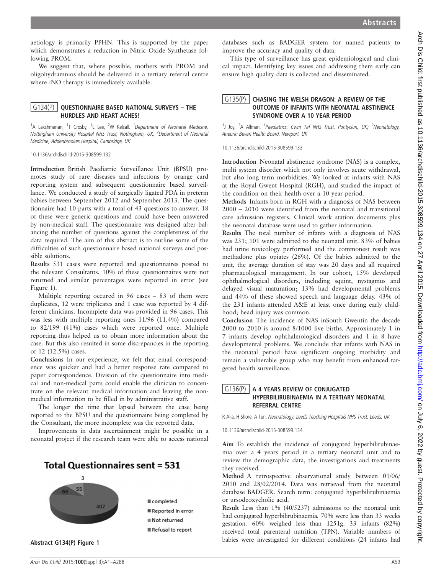aetiology is primarily PPHN. This is supported by the paper which demonstrates a reduction in Nitric Oxide Synthetase following PROM.

We suggest that, where possible, mothers with PROM and oligohydramnios should be delivered in a tertiary referral centre where iNO therapy is immediately available.

## $G134(P)$  OUESTIONNAIRE BASED NATIONAL SURVEYS – THE HURDLES AND HEART ACHES!

<sup>1</sup>A Lakshmanan, <sup>1</sup>T Crosby, <sup>1</sup>L Lee, <sup>2</sup>W Kelsall. <sup>1</sup>Department of Neonatal Medicine, Nottingham University Hospital NHS Trust, Nottingham, UK; <sup>2</sup>Department of Neonatal Medicine, Addenbrookes Hospital, Cambridge, UK

10.1136/archdischild-2015-308599.132

Introduction British Paediatric Surveillance Unit (BPSU) promotes study of rare diseases and infections by orange card reporting system and subsequent questionnaire based surveillance. We conducted a study of surgically ligated PDA in preterm babies between September 2012 and September 2013. The questionnaire had 10 parts with a total of 43 questions to answer. 18 of these were generic questions and could have been answered by non-medical staff. The questionnaire was designed after balancing the number of questions against the completeness of the data required. The aim of this abstract is to outline some of the difficulties of such questionnaire based national surveys and possible solutions.

Results 531 cases were reported and questionnaires posted to the relevant Consultants. 10% of these questionnaires were not returned and similar percentages were reported in error (see Figure 1).

Multiple reporting occured in 96 cases – 83 of them were duplicates, 12 were triplicates and 1 case was reported by 4 different clinicians. Incomplete data was provided in 96 cases. This was less with multiple reporting ones 11/96 (11.4%) compared to 82/199 (41%) cases which were reported once. Multiple reporting thus helped us to obtain more information about the case. But this also resulted in some discrepancies in the reporting of 12 (12.5%) cases.

Conclusions In our experience, we felt that email correspondence was quicker and had a better response rate compared to paper correspondence. Division of the questionnaire into medical and non-medical parts could enable the clinician to concentrate on the relevant medical information and leaving the nonmedical information to be filled in by administrative staff.

The longer the time that lapsed between the case being reported to the BPSU and the questionnaire being completed by the Consultant, the more incomplete was the reported data.

Improvements in data ascertainment might be possible in a neonatal project if the research team were able to access national



databases such as BADGER system for named patients to improve the accuracy and quality of data.

This type of surveillance has great epidemiological and clinical impact. Identifying key issues and addressing them early can ensure high quality data is collected and disseminated.

## G135(P) CHASING THE WELSH DRAGON: A REVIEW OF THE OUTCOME OF INFANTS WITH NEONATAL ABSTINENCE SYNDROME OVER A 10 YEAR PERIOD

<sup>1</sup>J Joy, <sup>2</sup>A Allman. <sup>1</sup>Paediatrics, Cwm Taf NHS Trust, Pontyclun, UK; <sup>2</sup>Neonatology, Aneurin Bevan Health Board, Newport, UK

10.1136/archdischild-2015-308599.133

Introduction Neonatal abstinence syndrome (NAS) is a complex, multi system disorder which not only involves acute withdrawal, but also long term morbidities. We looked at infants with NAS at the Royal Gwent Hospital (RGH), and studied the impact of the condition on their health over a 10 year period.

Methods Infants born in RGH with a diagnosis of NAS between 2000 – 2010 were identified from the neonatal and transitional care admission registers. Clinical work station documents plus the neonatal database were used to gather information.

Results The total number of infants with a diagnosis of NAS was 231; 101 were admitted to the neonatal unit. 83% of babies had urine toxicology performed and the commonest result was methadone plus opiates (26%). Of the babies admitted to the unit, the average duration of stay was 20 days and all required pharmacological management. In our cohort, 15% developed ophthalmological disorders, including squint, nystagmus and delayed visual maturation; 13% had developmental problems and 44% of these showed speech and language delay. 43% of the 231 infants attended A&E at least once during early childhood; head injury was common.

Conclusion The incidence of NAS inSouth Gwentin the decade 2000 to 2010 is around 8/1000 live births. Approximately 1 in 7 infants develop ophthalmological disorders and 1 in 8 have developmental problems. We conclude that infants with NAS in the neonatal period have significant ongoing morbidity and remain a vulnerable group who may benefit from enhanced targeted health surveillance.

## $G136(P)$  | A 4 YEARS REVIEW OF CONJUGATED HYPERBILIRUBINAEMIA IN A TERTIARY NEONATAL REFERRAL CENTRE

R Alia, H Shore, A Turi. Neonatology, Leeds Teaching Hospitals NHS Trust, Leeds, UK

10.1136/archdischild-2015-308599.134

Aim To establish the incidence of conjugated hyperbilirubinaemia over a 4 years period in a tertiary neonatal unit and to review the demographic data, the investigations and treatments they received.

Method A retrospective observational study between 01/06/ 2010 and 28/02/2014. Data was retrieved from the neonatal database BADGER. Search term: conjugated hyperbilirubinaemia or ursodeoxycholic acid.

Result Less than 1% (40/5237) admissions to the neonatal unit had conjugated hyperbilirubinaemia. 70% were less than 33 weeks gestation. 60% weighed less than 1251g. 33 infants (82%) received total parenteral nutrition (TPN). Variable numbers of Abstract G134(P) Figure 1 babies were investigated for different conditions (24 infants had